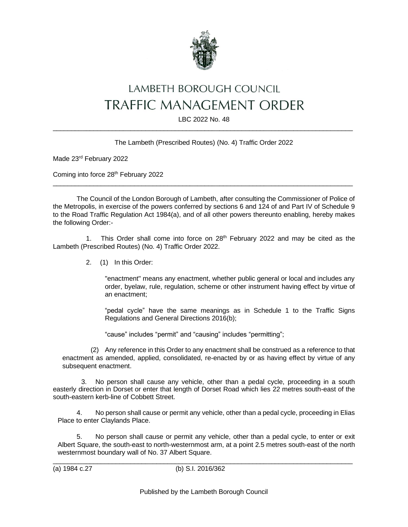

## LAMBETH BOROUGH COUNCIL **TRAFFIC MANAGEMENT ORDER**

LBC 2022 No. 48  $\_$  , and the set of the set of the set of the set of the set of the set of the set of the set of the set of the set of the set of the set of the set of the set of the set of the set of the set of the set of the set of th

## The Lambeth (Prescribed Routes) (No. 4) Traffic Order 2022

Made 23rd February 2022

Coming into force 28<sup>th</sup> February 2022

The Council of the London Borough of Lambeth, after consulting the Commissioner of Police of the Metropolis, in exercise of the powers conferred by sections 6 and 124 of and Part IV of Schedule 9 to the Road Traffic Regulation Act 1984(a), and of all other powers thereunto enabling, hereby makes the following Order:-

 $\_$  , and the set of the set of the set of the set of the set of the set of the set of the set of the set of the set of the set of the set of the set of the set of the set of the set of the set of the set of the set of th

1. This Order shall come into force on  $28<sup>th</sup>$  February 2022 and may be cited as the Lambeth (Prescribed Routes) (No. 4) Traffic Order 2022.

2. (1) In this Order:

"enactment" means any enactment, whether public general or local and includes any order, byelaw, rule, regulation, scheme or other instrument having effect by virtue of an enactment;

"pedal cycle" have the same meanings as in Schedule 1 to the Traffic Signs Regulations and General Directions 2016(b);

"cause" includes "permit" and "causing" includes "permitting";

(2) Any reference in this Order to any enactment shall be construed as a reference to that enactment as amended, applied, consolidated, re-enacted by or as having effect by virtue of any subsequent enactment.

3. No person shall cause any vehicle, other than a pedal cycle, proceeding in a south easterly direction in Dorset or enter that length of Dorset Road which lies 22 metres south-east of the south-eastern kerb-line of Cobbett Street.

4. No person shall cause or permit any vehicle, other than a pedal cycle, proceeding in Elias Place to enter Claylands Place.

5. No person shall cause or permit any vehicle, other than a pedal cycle, to enter or exit Albert Square, the south-east to north-westernmost arm, at a point 2.5 metres south-east of the north westernmost boundary wall of No. 37 Albert Square.

 $\_$  , and the set of the set of the set of the set of the set of the set of the set of the set of the set of the set of the set of the set of the set of the set of the set of the set of the set of the set of the set of th (a) 1984 c.27 (b) S.I. 2016/362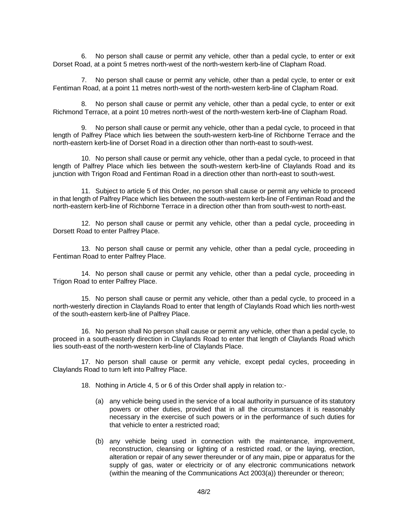6. No person shall cause or permit any vehicle, other than a pedal cycle, to enter or exit Dorset Road, at a point 5 metres north-west of the north-western kerb-line of Clapham Road.

7. No person shall cause or permit any vehicle, other than a pedal cycle, to enter or exit Fentiman Road, at a point 11 metres north-west of the north-western kerb-line of Clapham Road.

8. No person shall cause or permit any vehicle, other than a pedal cycle, to enter or exit Richmond Terrace, at a point 10 metres north-west of the north-western kerb-line of Clapham Road.

9. No person shall cause or permit any vehicle, other than a pedal cycle, to proceed in that length of Palfrey Place which lies between the south-western kerb-line of Richborne Terrace and the north-eastern kerb-line of Dorset Road in a direction other than north-east to south-west.

10. No person shall cause or permit any vehicle, other than a pedal cycle, to proceed in that length of Palfrey Place which lies between the south-western kerb-line of Claylands Road and its junction with Trigon Road and Fentiman Road in a direction other than north-east to south-west.

11. Subject to article 5 of this Order, no person shall cause or permit any vehicle to proceed in that length of Palfrey Place which lies between the south-western kerb-line of Fentiman Road and the north-eastern kerb-line of Richborne Terrace in a direction other than from south-west to north-east.

12. No person shall cause or permit any vehicle, other than a pedal cycle, proceeding in Dorsett Road to enter Palfrey Place.

13. No person shall cause or permit any vehicle, other than a pedal cycle, proceeding in Fentiman Road to enter Palfrey Place.

14. No person shall cause or permit any vehicle, other than a pedal cycle, proceeding in Trigon Road to enter Palfrey Place.

15. No person shall cause or permit any vehicle, other than a pedal cycle, to proceed in a north-westerly direction in Claylands Road to enter that length of Claylands Road which lies north-west of the south-eastern kerb-line of Palfrey Place.

16. No person shall No person shall cause or permit any vehicle, other than a pedal cycle, to proceed in a south-easterly direction in Claylands Road to enter that length of Claylands Road which lies south-east of the north-western kerb-line of Claylands Place.

17. No person shall cause or permit any vehicle, except pedal cycles, proceeding in Claylands Road to turn left into Palfrey Place.

18. Nothing in Article 4, 5 or 6 of this Order shall apply in relation to:-

- (a) any vehicle being used in the service of a local authority in pursuance of its statutory powers or other duties, provided that in all the circumstances it is reasonably necessary in the exercise of such powers or in the performance of such duties for that vehicle to enter a restricted road;
- (b) any vehicle being used in connection with the maintenance, improvement, reconstruction, cleansing or lighting of a restricted road, or the laying, erection, alteration or repair of any sewer thereunder or of any main, pipe or apparatus for the supply of gas, water or electricity or of any electronic communications network (within the meaning of the Communications Act 2003(a)) thereunder or thereon;